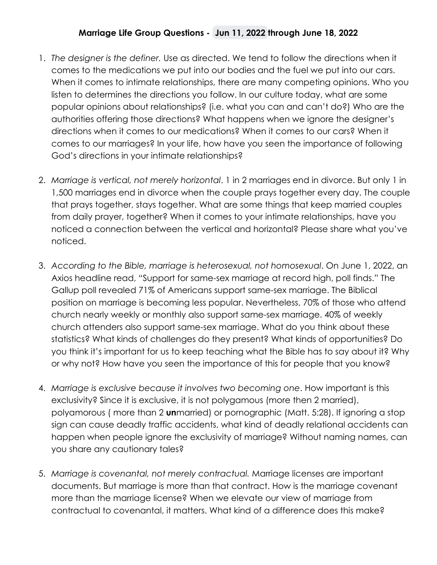## **Marriage Life Group Questions - Jun 11, 2022 through June 18, 2022**

- 1. *The designer is the definer.* Use as directed. We tend to follow the directions when it comes to the medications we put into our bodies and the fuel we put into our cars. When it comes to intimate relationships, there are many competing opinions. Who you listen to determines the directions you follow. In our culture today, what are some popular opinions about relationships? (i.e. what you can and can't do?) Who are the authorities offering those directions? What happens when we ignore the designer's directions when it comes to our medications? When it comes to our cars? When it comes to our marriages? In your life, how have you seen the importance of following God's directions in your intimate relationships?
- 2. *Marriage is vertical, not merely horizontal*. 1 in 2 marriages end in divorce. But only 1 in 1,500 marriages end in divorce when the couple prays together every day. The couple that prays together, stays together. What are some things that keep married couples from daily prayer, together? When it comes to your intimate relationships, have you noticed a connection between the vertical and horizontal? Please share what you've noticed.
- 3. *According to the Bible, marriage is heterosexual, not homosexual*. On June 1, 2022, an Axios headline read, "Support for same-sex marriage at record high, poll finds." The Gallup poll revealed 71% of Americans support same-sex marriage. The Biblical position on marriage is becoming less popular. Nevertheless, 70% of those who attend church nearly weekly or monthly also support same-sex marriage. 40% of weekly church attenders also support same-sex marriage. What do you think about these statistics? What kinds of challenges do they present? What kinds of opportunities? Do you think it's important for us to keep teaching what the Bible has to say about it? Why or why not? How have you seen the importance of this for people that you know?
- 4. *Marriage is exclusive because it involves two becoming one*. How important is this exclusivity? Since it is exclusive, it is not polygamous (more then 2 married), polyamorous ( more than 2 **un**married) or pornographic (Matt. 5:28). If ignoring a stop sign can cause deadly traffic accidents, what kind of deadly relational accidents can happen when people ignore the exclusivity of marriage? Without naming names, can you share any cautionary tales?
- 5. *Marriage is covenantal, not merely contractual.* Marriage licenses are important documents. But marriage is more than that contract. How is the marriage covenant more than the marriage license? When we elevate our view of marriage from contractual to covenantal, it matters. What kind of a difference does this make?